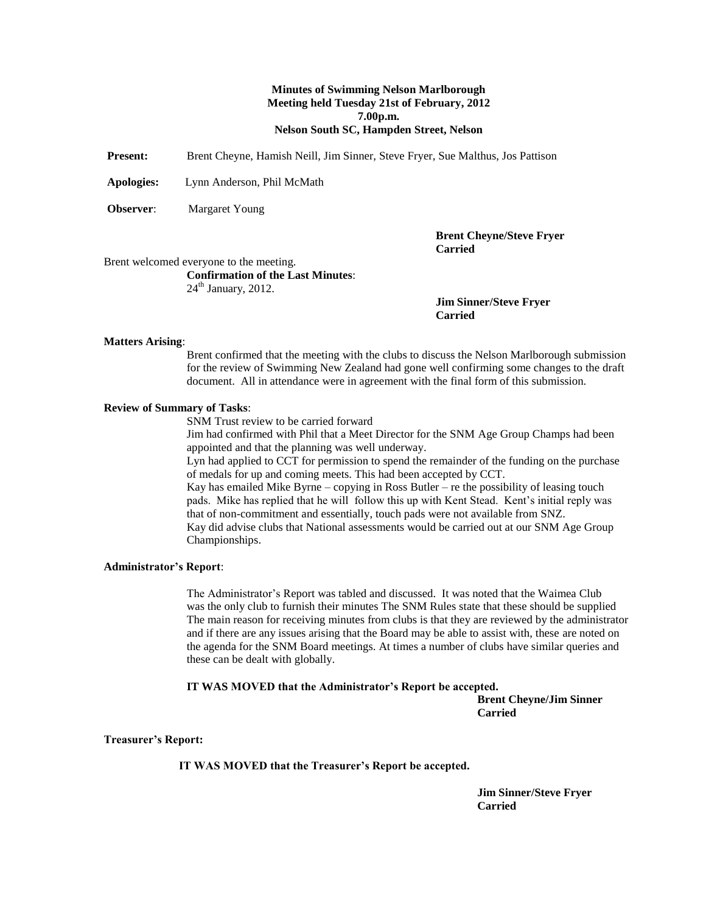#### **Minutes of Swimming Nelson Marlborough Meeting held Tuesday 21st of February, 2012 7.00p.m. Nelson South SC, Hampden Street, Nelson**

**Present:** Brent Cheyne, Hamish Neill, Jim Sinner, Steve Fryer, Sue Malthus, Jos Pattison

**Apologies:** Lynn Anderson, Phil McMath

**Observer:** Margaret Young

**Brent Cheyne/Steve Fryer Carried**

Brent welcomed everyone to the meeting.

**Confirmation of the Last Minutes**:  $24<sup>th</sup>$  January, 2012.

> **Jim Sinner/Steve Fryer Carried**

#### **Matters Arising**:

Brent confirmed that the meeting with the clubs to discuss the Nelson Marlborough submission for the review of Swimming New Zealand had gone well confirming some changes to the draft document. All in attendance were in agreement with the final form of this submission.

#### **Review of Summary of Tasks**:

SNM Trust review to be carried forward

Jim had confirmed with Phil that a Meet Director for the SNM Age Group Champs had been appointed and that the planning was well underway.

Lyn had applied to CCT for permission to spend the remainder of the funding on the purchase of medals for up and coming meets. This had been accepted by CCT.

Kay has emailed Mike Byrne – copying in Ross Butler – re the possibility of leasing touch pads. Mike has replied that he will follow this up with Kent Stead. Kent's initial reply was that of non-commitment and essentially, touch pads were not available from SNZ. Kay did advise clubs that National assessments would be carried out at our SNM Age Group Championships.

#### **Administrator's Report**:

The Administrator's Report was tabled and discussed. It was noted that the Waimea Club was the only club to furnish their minutes The SNM Rules state that these should be supplied The main reason for receiving minutes from clubs is that they are reviewed by the administrator and if there are any issues arising that the Board may be able to assist with, these are noted on the agenda for the SNM Board meetings. At times a number of clubs have similar queries and these can be dealt with globally.

#### **IT WAS MOVED that the Administrator's Report be accepted.**

**Brent Cheyne/Jim Sinner Carried**

#### **Treasurer's Report:**

**IT WAS MOVED that the Treasurer's Report be accepted.**

**Jim Sinner/Steve Fryer Carried**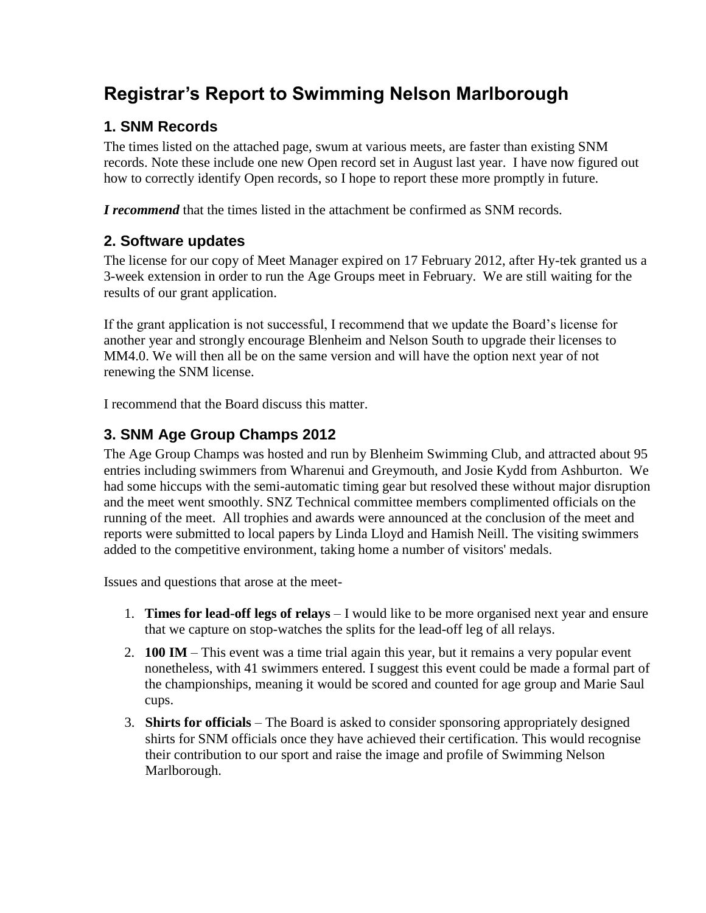# **Registrar's Report to Swimming Nelson Marlborough**

## **1. SNM Records**

The times listed on the attached page, swum at various meets, are faster than existing SNM records. Note these include one new Open record set in August last year. I have now figured out how to correctly identify Open records, so I hope to report these more promptly in future.

*I recommend* that the times listed in the attachment be confirmed as SNM records.

## **2. Software updates**

The license for our copy of Meet Manager expired on 17 February 2012, after Hy-tek granted us a 3-week extension in order to run the Age Groups meet in February. We are still waiting for the results of our grant application.

If the grant application is not successful, I recommend that we update the Board's license for another year and strongly encourage Blenheim and Nelson South to upgrade their licenses to MM4.0. We will then all be on the same version and will have the option next year of not renewing the SNM license.

I recommend that the Board discuss this matter.

### **3. SNM Age Group Champs 2012**

The Age Group Champs was hosted and run by Blenheim Swimming Club, and attracted about 95 entries including swimmers from Wharenui and Greymouth, and Josie Kydd from Ashburton. We had some hiccups with the semi-automatic timing gear but resolved these without major disruption and the meet went smoothly. SNZ Technical committee members complimented officials on the running of the meet. All trophies and awards were announced at the conclusion of the meet and reports were submitted to local papers by Linda Lloyd and Hamish Neill. The visiting swimmers added to the competitive environment, taking home a number of visitors' medals.

Issues and questions that arose at the meet-

- 1. **Times for lead-off legs of relays** I would like to be more organised next year and ensure that we capture on stop-watches the splits for the lead-off leg of all relays.
- 2. **100 IM** This event was a time trial again this year, but it remains a very popular event nonetheless, with 41 swimmers entered. I suggest this event could be made a formal part of the championships, meaning it would be scored and counted for age group and Marie Saul cups.
- 3. **Shirts for officials** The Board is asked to consider sponsoring appropriately designed shirts for SNM officials once they have achieved their certification. This would recognise their contribution to our sport and raise the image and profile of Swimming Nelson Marlborough.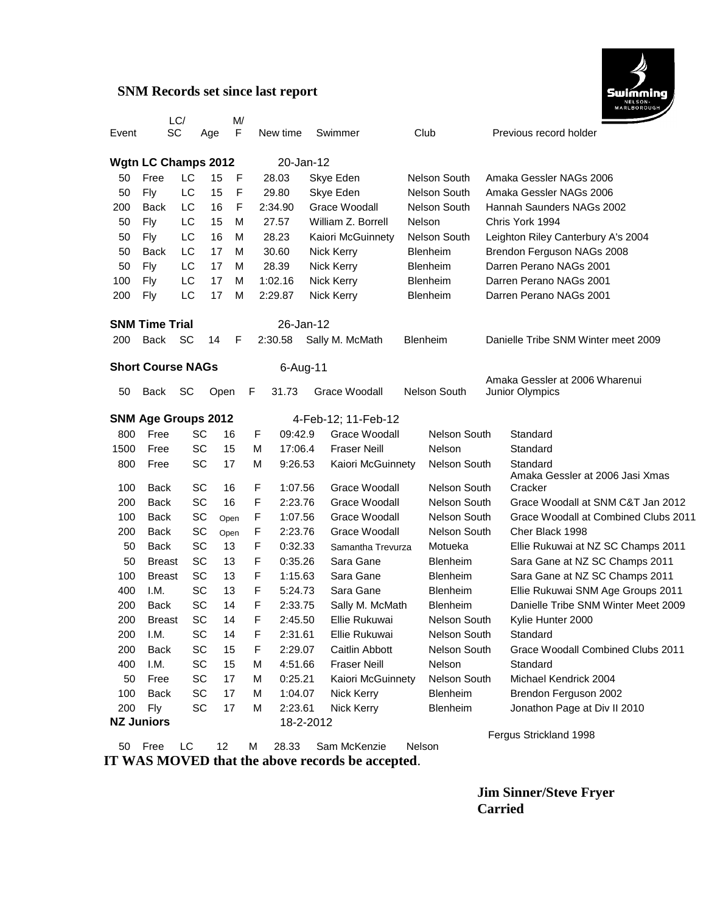### **SNM Records set since last report**



|                                                   |                                | LC/ |          | M/       |        |                    |                                |  |                     |  |                                                                  |
|---------------------------------------------------|--------------------------------|-----|----------|----------|--------|--------------------|--------------------------------|--|---------------------|--|------------------------------------------------------------------|
| Event                                             | SC                             |     | Age      | F        |        | New time           | Swimmer                        |  | Club                |  | Previous record holder                                           |
| <b>Wgtn LC Champs 2012</b>                        |                                |     |          |          |        | 20-Jan-12          |                                |  |                     |  |                                                                  |
| 50                                                | Free                           | LC  | 15       | F        |        | 28.03              | Skye Eden                      |  | Nelson South        |  | Amaka Gessler NAGs 2006                                          |
| 50                                                | Fly                            | LC  | 15       | F        |        | 29.80              | Skye Eden                      |  | Nelson South        |  | Amaka Gessler NAGs 2006                                          |
| 200                                               | <b>Back</b>                    | LC  | 16       | F        |        | 2:34.90            | Grace Woodall                  |  | Nelson South        |  | Hannah Saunders NAGs 2002                                        |
| 50                                                | Fly                            | LC  | 15       | M        |        | 27.57              | William Z. Borrell             |  | Nelson              |  | Chris York 1994                                                  |
| 50                                                | Fly                            | LC  | 16       | M        |        | 28.23              | Kaiori McGuinnety              |  | Nelson South        |  | Leighton Riley Canterbury A's 2004                               |
| 50                                                | Back                           | LC  | 17       | M        |        | 30.60              | Nick Kerry                     |  | Blenheim            |  | Brendon Ferguson NAGs 2008                                       |
| 50                                                | Fly                            | LC  | 17       | м        |        | 28.39              | Nick Kerry                     |  | <b>Blenheim</b>     |  | Darren Perano NAGs 2001                                          |
| 100                                               | Fly                            | LC  | 17       | м        |        | 1:02.16            | Nick Kerry                     |  | Blenheim            |  | Darren Perano NAGs 2001                                          |
| 200                                               | Fly                            | LC  | 17       | M        |        | 2:29.87            | Nick Kerry                     |  | Blenheim            |  | Darren Perano NAGs 2001                                          |
|                                                   |                                |     |          |          |        |                    |                                |  |                     |  |                                                                  |
| <b>SNM Time Trial</b>                             |                                |     |          |          |        | 26-Jan-12          |                                |  |                     |  |                                                                  |
| 200                                               | <b>Back</b>                    | SC  | 14       | F        |        | 2:30.58            | Sally M. McMath                |  | Blenheim            |  | Danielle Tribe SNM Winter meet 2009                              |
| <b>Short Course NAGs</b><br>6-Aug-11              |                                |     |          |          |        |                    |                                |  |                     |  |                                                                  |
|                                                   |                                |     |          |          |        |                    |                                |  |                     |  | Amaka Gessler at 2006 Wharenui                                   |
| 50                                                | Back                           | SC  |          | Open     | F      | 31.73              | Grace Woodall                  |  | <b>Nelson South</b> |  | Junior Olympics                                                  |
| <b>SNM Age Groups 2012</b><br>4-Feb-12; 11-Feb-12 |                                |     |          |          |        |                    |                                |  |                     |  |                                                                  |
| 800                                               | Free                           |     | SC       | 16       | F      | 09:42.9            | Grace Woodall                  |  | <b>Nelson South</b> |  | Standard                                                         |
| 1500                                              | Free                           |     | SC       | 15       | M      | 17:06.4            | <b>Fraser Neill</b>            |  | Nelson              |  | Standard                                                         |
| 800                                               | Free                           |     | SC       | 17       | М      | 9:26.53            | Kaiori McGuinnety              |  | Nelson South        |  | Standard                                                         |
|                                                   |                                |     |          |          |        |                    |                                |  |                     |  | Amaka Gessler at 2006 Jasi Xmas                                  |
| 100                                               | <b>Back</b>                    |     | SC       | 16       | F      | 1:07.56            | Grace Woodall                  |  | <b>Nelson South</b> |  | Cracker                                                          |
| 200                                               | Back                           |     | SC       | 16       | F      | 2:23.76            | Grace Woodall                  |  | Nelson South        |  | Grace Woodall at SNM C&T Jan 2012                                |
| 100                                               | <b>Back</b>                    |     | SC       | Open     | F      | 1:07.56            | Grace Woodall                  |  | <b>Nelson South</b> |  | Grace Woodall at Combined Clubs 2011                             |
| 200                                               | <b>Back</b>                    |     | SC       | Open     | F      | 2:23.76            | Grace Woodall                  |  | Nelson South        |  | Cher Black 1998                                                  |
| 50<br>50                                          | Back                           |     | SC<br>SC | 13<br>13 | F      | 0:32.33<br>0:35.26 | Samantha Trevurza<br>Sara Gane |  | Motueka<br>Blenheim |  | Ellie Rukuwai at NZ SC Champs 2011                               |
| 100                                               | <b>Breast</b><br><b>Breast</b> |     | SC       | 13       | F<br>F | 1:15.63            | Sara Gane                      |  | <b>Blenheim</b>     |  | Sara Gane at NZ SC Champs 2011<br>Sara Gane at NZ SC Champs 2011 |
| 400                                               | I.M.                           |     | SC       | 13       | F      | 5:24.73            | Sara Gane                      |  | Blenheim            |  | Ellie Rukuwai SNM Age Groups 2011                                |
| 200                                               | Back                           |     | SC       | 14       | F      | 2:33.75            | Sally M. McMath                |  | Blenheim            |  | Danielle Tribe SNM Winter Meet 2009                              |
| 200                                               | <b>Breast</b>                  |     | SC       | 14       | F      | 2:45.50            | Ellie Rukuwai                  |  | <b>Nelson South</b> |  | Kylie Hunter 2000                                                |
| 200                                               | I.M.                           |     | SC       | 14       | F      | 2:31.61            | Ellie Rukuwai                  |  | Nelson South        |  | Standard                                                         |
| 200                                               | <b>Back</b>                    |     | SC       | 15       | F      | 2:29.07            | Caitlin Abbott                 |  | Nelson South        |  | Grace Woodall Combined Clubs 2011                                |
| 400                                               | I.M.                           |     | SC       | 15       | M      | 4:51.66            | <b>Fraser Neill</b>            |  | Nelson              |  | Standard                                                         |
| 50                                                | Free                           |     | SC       | 17       | M      | 0:25.21            | Kaiori McGuinnety              |  | Nelson South        |  | Michael Kendrick 2004                                            |
| 100                                               | Back                           |     | SC       | 17       | м      | 1:04.07            | Nick Kerry                     |  | Blenheim            |  | Brendon Ferguson 2002                                            |
| 200                                               | Fly                            |     | SC       | 17       | м      | 2:23.61            | Nick Kerry                     |  | Blenheim            |  | Jonathon Page at Div II 2010                                     |
|                                                   | <b>NZ Juniors</b>              |     |          |          |        | 18-2-2012          |                                |  |                     |  |                                                                  |
|                                                   |                                |     |          |          |        |                    |                                |  |                     |  |                                                                  |

 Free LC 12 M 28.33 Sam McKenzie Nelson **IT WAS MOVED that the above records be accepted**.

Fergus Strickland 1998

**Jim Sinner/Steve Fryer Carried**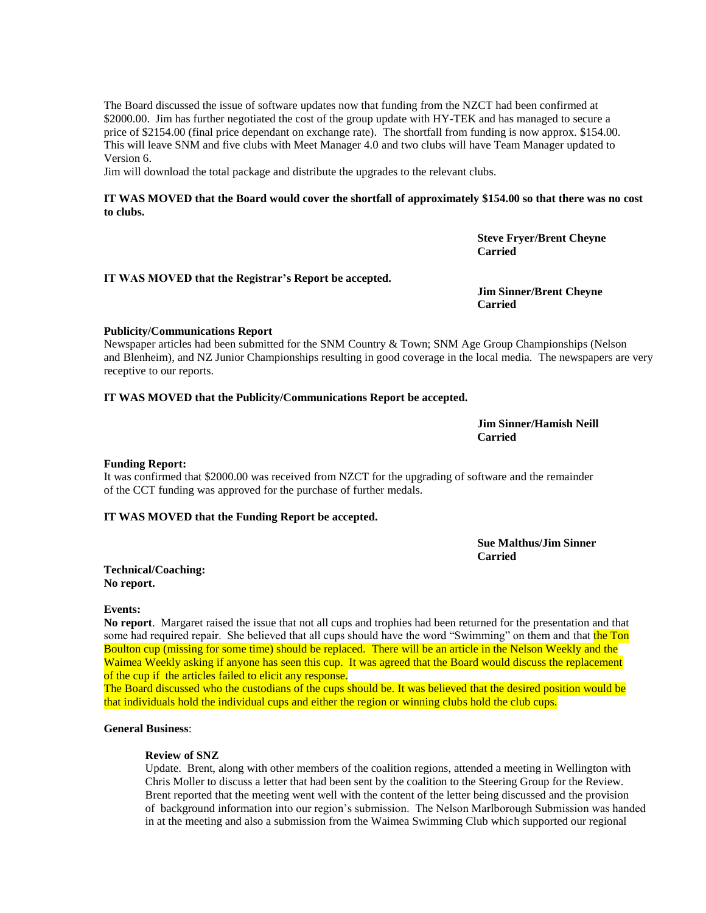The Board discussed the issue of software updates now that funding from the NZCT had been confirmed at \$2000.00. Jim has further negotiated the cost of the group update with HY-TEK and has managed to secure a price of \$2154.00 (final price dependant on exchange rate). The shortfall from funding is now approx. \$154.00. This will leave SNM and five clubs with Meet Manager 4.0 and two clubs will have Team Manager updated to Version 6.

Jim will download the total package and distribute the upgrades to the relevant clubs.

#### **IT WAS MOVED that the Board would cover the shortfall of approximately \$154.00 so that there was no cost to clubs.**

**Steve Fryer/Brent Cheyne Carried**

#### **IT WAS MOVED that the Registrar's Report be accepted.**

**Jim Sinner/Brent Cheyne Carried**

#### **Publicity/Communications Report**

Newspaper articles had been submitted for the SNM Country & Town; SNM Age Group Championships (Nelson and Blenheim), and NZ Junior Championships resulting in good coverage in the local media. The newspapers are very receptive to our reports.

#### **IT WAS MOVED that the Publicity/Communications Report be accepted.**

**Jim Sinner/Hamish Neill Carried**

#### **Funding Report:**

It was confirmed that \$2000.00 was received from NZCT for the upgrading of software and the remainder of the CCT funding was approved for the purchase of further medals.

#### **IT WAS MOVED that the Funding Report be accepted.**

**Sue Malthus/Jim Sinner Carried**

**Technical/Coaching: No report.**

#### **Events:**

**No report**. Margaret raised the issue that not all cups and trophies had been returned for the presentation and that some had required repair. She believed that all cups should have the word "Swimming" on them and that the Ton Boulton cup (missing for some time) should be replaced. There will be an article in the Nelson Weekly and the Waimea Weekly asking if anyone has seen this cup. It was agreed that the Board would discuss the replacement of the cup if the articles failed to elicit any response.

The Board discussed who the custodians of the cups should be. It was believed that the desired position would be that individuals hold the individual cups and either the region or winning clubs hold the club cups.

#### **General Business**:

#### **Review of SNZ**

Update. Brent, along with other members of the coalition regions, attended a meeting in Wellington with Chris Moller to discuss a letter that had been sent by the coalition to the Steering Group for the Review. Brent reported that the meeting went well with the content of the letter being discussed and the provision of background information into our region's submission. The Nelson Marlborough Submission was handed in at the meeting and also a submission from the Waimea Swimming Club which supported our regional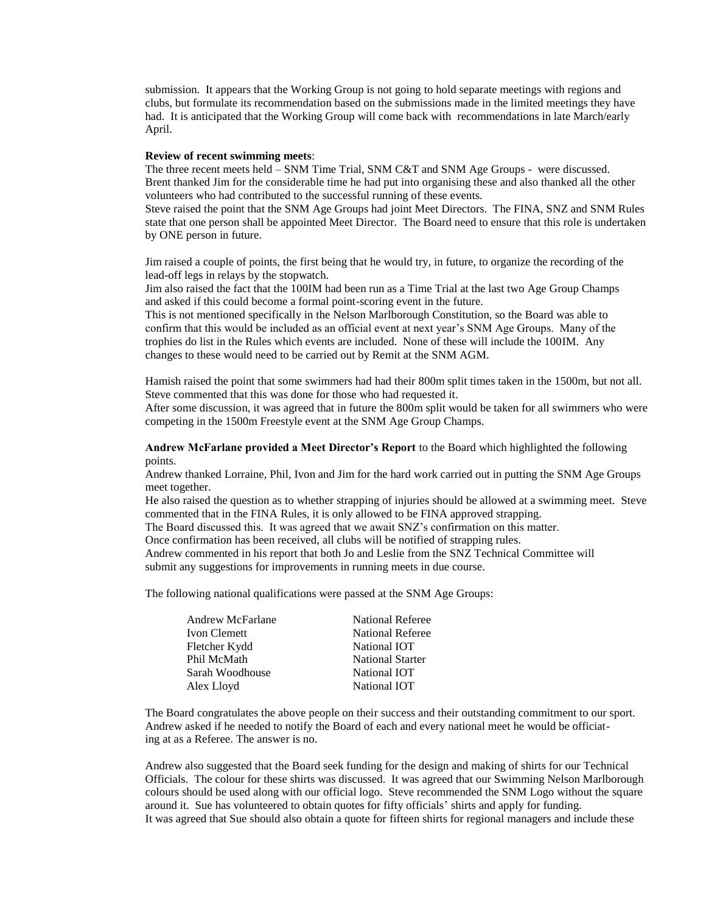submission. It appears that the Working Group is not going to hold separate meetings with regions and clubs, but formulate its recommendation based on the submissions made in the limited meetings they have had. It is anticipated that the Working Group will come back with recommendations in late March/early April.

#### **Review of recent swimming meets**:

The three recent meets held – SNM Time Trial, SNM C&T and SNM Age Groups - were discussed. Brent thanked Jim for the considerable time he had put into organising these and also thanked all the other volunteers who had contributed to the successful running of these events.

Steve raised the point that the SNM Age Groups had joint Meet Directors. The FINA, SNZ and SNM Rules state that one person shall be appointed Meet Director. The Board need to ensure that this role is undertaken by ONE person in future.

Jim raised a couple of points, the first being that he would try, in future, to organize the recording of the lead-off legs in relays by the stopwatch.

Jim also raised the fact that the 100IM had been run as a Time Trial at the last two Age Group Champs and asked if this could become a formal point-scoring event in the future.

This is not mentioned specifically in the Nelson Marlborough Constitution, so the Board was able to confirm that this would be included as an official event at next year's SNM Age Groups. Many of the trophies do list in the Rules which events are included. None of these will include the 100IM. Any changes to these would need to be carried out by Remit at the SNM AGM.

Hamish raised the point that some swimmers had had their 800m split times taken in the 1500m, but not all. Steve commented that this was done for those who had requested it.

After some discussion, it was agreed that in future the 800m split would be taken for all swimmers who were competing in the 1500m Freestyle event at the SNM Age Group Champs.

**Andrew McFarlane provided a Meet Director's Report** to the Board which highlighted the following points.

Andrew thanked Lorraine, Phil, Ivon and Jim for the hard work carried out in putting the SNM Age Groups meet together.

He also raised the question as to whether strapping of injuries should be allowed at a swimming meet. Steve commented that in the FINA Rules, it is only allowed to be FINA approved strapping.

The Board discussed this. It was agreed that we await SNZ's confirmation on this matter.

Once confirmation has been received, all clubs will be notified of strapping rules.

Andrew commented in his report that both Jo and Leslie from the SNZ Technical Committee will submit any suggestions for improvements in running meets in due course.

The following national qualifications were passed at the SNM Age Groups:

| <b>Andrew McFarlane</b> | <b>National Referee</b> |
|-------------------------|-------------------------|
| Ivon Clemett            | <b>National Referee</b> |
| Fletcher Kydd           | National IOT            |
| Phil McMath             | <b>National Starter</b> |
| Sarah Woodhouse         | National IOT            |
| Alex Lloyd              | National IOT            |

The Board congratulates the above people on their success and their outstanding commitment to our sport. Andrew asked if he needed to notify the Board of each and every national meet he would be officiating at as a Referee. The answer is no.

Andrew also suggested that the Board seek funding for the design and making of shirts for our Technical Officials. The colour for these shirts was discussed. It was agreed that our Swimming Nelson Marlborough colours should be used along with our official logo. Steve recommended the SNM Logo without the square around it. Sue has volunteered to obtain quotes for fifty officials' shirts and apply for funding. It was agreed that Sue should also obtain a quote for fifteen shirts for regional managers and include these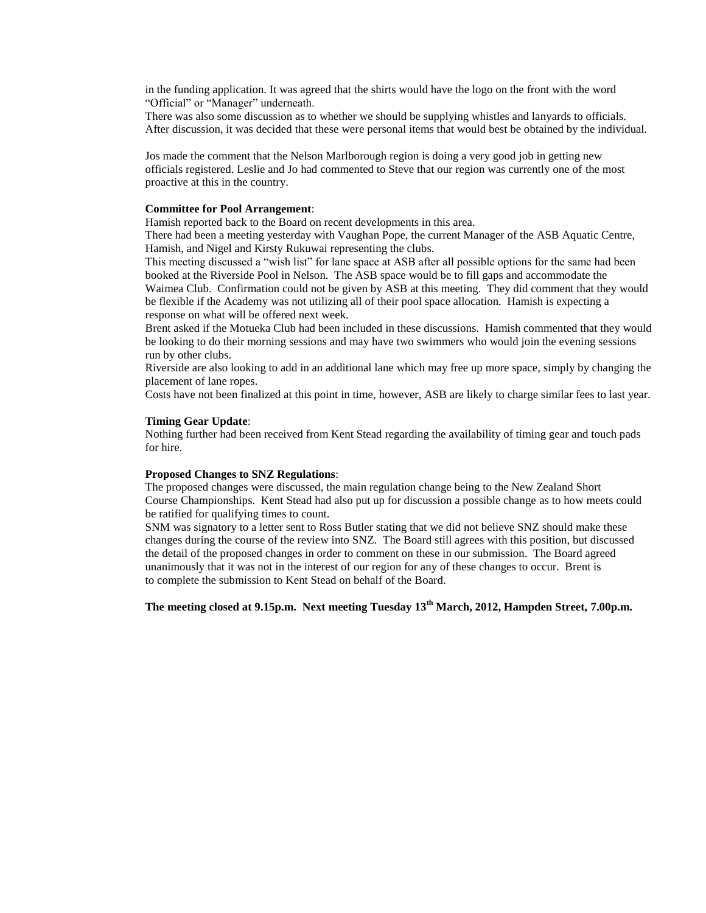in the funding application. It was agreed that the shirts would have the logo on the front with the word "Official" or "Manager" underneath.

There was also some discussion as to whether we should be supplying whistles and lanyards to officials. After discussion, it was decided that these were personal items that would best be obtained by the individual.

Jos made the comment that the Nelson Marlborough region is doing a very good job in getting new officials registered. Leslie and Jo had commented to Steve that our region was currently one of the most proactive at this in the country.

#### **Committee for Pool Arrangement**:

Hamish reported back to the Board on recent developments in this area.

There had been a meeting yesterday with Vaughan Pope, the current Manager of the ASB Aquatic Centre, Hamish, and Nigel and Kirsty Rukuwai representing the clubs.

This meeting discussed a "wish list" for lane space at ASB after all possible options for the same had been booked at the Riverside Pool in Nelson. The ASB space would be to fill gaps and accommodate the Waimea Club. Confirmation could not be given by ASB at this meeting. They did comment that they would be flexible if the Academy was not utilizing all of their pool space allocation. Hamish is expecting a response on what will be offered next week.

Brent asked if the Motueka Club had been included in these discussions. Hamish commented that they would be looking to do their morning sessions and may have two swimmers who would join the evening sessions run by other clubs.

Riverside are also looking to add in an additional lane which may free up more space, simply by changing the placement of lane ropes.

Costs have not been finalized at this point in time, however, ASB are likely to charge similar fees to last year.

#### **Timing Gear Update**:

Nothing further had been received from Kent Stead regarding the availability of timing gear and touch pads for hire.

#### **Proposed Changes to SNZ Regulations**:

The proposed changes were discussed, the main regulation change being to the New Zealand Short Course Championships. Kent Stead had also put up for discussion a possible change as to how meets could be ratified for qualifying times to count.

SNM was signatory to a letter sent to Ross Butler stating that we did not believe SNZ should make these changes during the course of the review into SNZ. The Board still agrees with this position, but discussed the detail of the proposed changes in order to comment on these in our submission. The Board agreed unanimously that it was not in the interest of our region for any of these changes to occur. Brent is to complete the submission to Kent Stead on behalf of the Board.

**The meeting closed at 9.15p.m. Next meeting Tuesday 13th March, 2012, Hampden Street, 7.00p.m.**